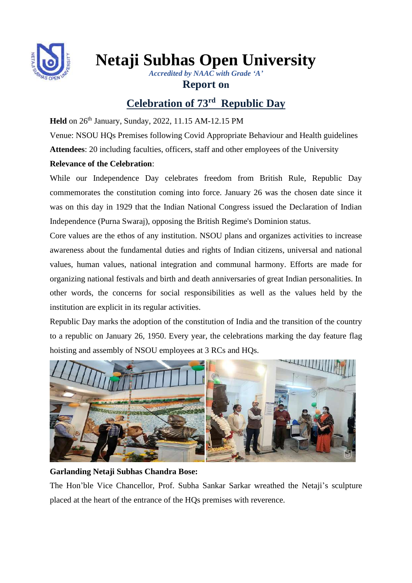

**Netaji Subhas Open University**

*Accredited by NAAC with Grade 'A'*

## **Report on**

# **Celebration of 73 rd Republic Day**

Held on 26<sup>th</sup> January, Sunday, 2022, 11.15 AM-12.15 PM

Venue: NSOU HQs Premises following Covid Appropriate Behaviour and Health guidelines

**Attendees**: 20 including faculties, officers, staff and other employees of the University

## **Relevance of the Celebration**:

While our Independence Day celebrates freedom from British Rule, Republic Day commemorates the constitution coming into force. January 26 was the chosen date since it was on this day in 1929 that the Indian National Congress issued the Declaration of Indian Independence (Purna Swaraj), opposing the British Regime's Dominion status.

Core values are the ethos of any institution. NSOU plans and organizes activities to increase awareness about the fundamental duties and rights of Indian citizens, universal and national values, human values, national integration and communal harmony. Efforts are made for organizing national festivals and birth and death anniversaries of great Indian personalities. In other words, the concerns for social responsibilities as well as the values held by the institution are explicit in its regular activities.

Republic Day marks the adoption of the constitution of India and the transition of the country to a republic on January 26, 1950. Every year, the celebrations marking the day feature flag hoisting and assembly of NSOU employees at 3 RCs and HQs.



### **Garlanding Netaji Subhas Chandra Bose:**

The Hon'ble Vice Chancellor, Prof. Subha Sankar Sarkar wreathed the Netaji's sculpture placed at the heart of the entrance of the HQs premises with reverence.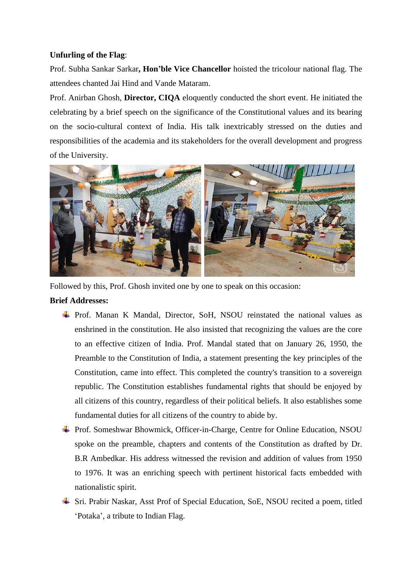#### **Unfurling of the Flag**:

Prof. Subha Sankar Sarkar**, Hon'ble Vice Chancellor** hoisted the tricolour national flag. The attendees chanted Jai Hind and Vande Mataram.

Prof. Anirban Ghosh, **Director, CIQA** eloquently conducted the short event. He initiated the celebrating by a brief speech on the significance of the Constitutional values and its bearing on the socio-cultural context of India. His talk inextricably stressed on the duties and responsibilities of the academia and its stakeholders for the overall development and progress of the University.



Followed by this, Prof. Ghosh invited one by one to speak on this occasion:

#### **Brief Addresses:**

- Prof. Manan K Mandal, Director, SoH, NSOU reinstated the national values as enshrined in the constitution. He also insisted that recognizing the values are the core to an effective citizen of India. Prof. Mandal stated that on January 26, 1950, the Preamble to the Constitution of India, a statement presenting the key principles of the Constitution, came into effect. This completed the country's transition to a sovereign republic. The Constitution establishes fundamental rights that should be enjoyed by all citizens of this country, regardless of their political beliefs. It also establishes some fundamental duties for all citizens of the country to abide by.
- Prof. Someshwar Bhowmick, Officer-in-Charge, Centre for Online Education, NSOU spoke on the preamble, chapters and contents of the Constitution as drafted by Dr. B.R Ambedkar. His address witnessed the revision and addition of values from 1950 to 1976. It was an enriching speech with pertinent historical facts embedded with nationalistic spirit.
- Sri. Prabir Naskar, Asst Prof of Special Education, SoE, NSOU recited a poem, titled 'Potaka', a tribute to Indian Flag.